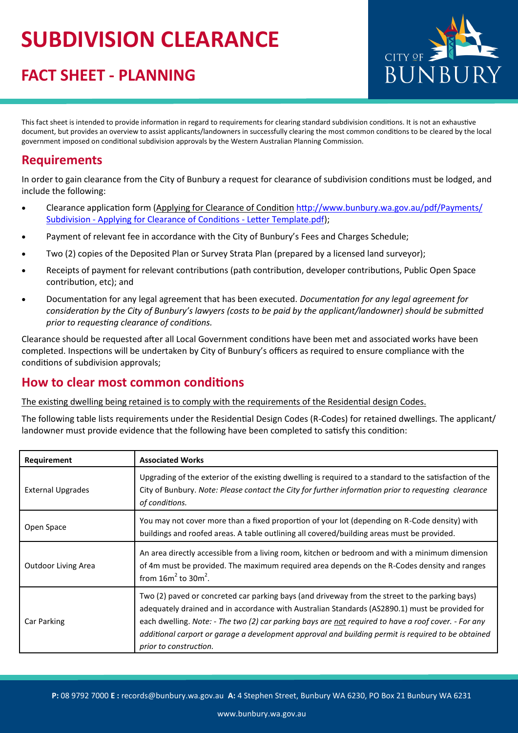# **SUBDIVISION CLEARANCE**

### **FACT SHEET - PLANNING**



This fact sheet is intended to provide information in regard to requirements for clearing standard subdivision conditions. It is not an exhaustive document, but provides an overview to assist applicants/landowners in successfully clearing the most common conditions to be cleared by the local government imposed on conditional subdivision approvals by the Western Australian Planning Commission.

#### **Requirements**

In order to gain clearance from the City of Bunbury a request for clearance of subdivision conditions must be lodged, and include the following:

- Clearance application form (Applying for Clearance of Condition [http://www.bunbury.wa.gov.au/pdf/Payments/](http://www.bunbury.wa.gov.au/pdf/Payments/Subdivision%20-%20Applying%20for%20Clearance%20of%20Conditions%20-%20Letter%20Template.pdf) Subdivision - [Applying for Clearance of Conditions](http://www.bunbury.wa.gov.au/pdf/Payments/Subdivision%20-%20Applying%20for%20Clearance%20of%20Conditions%20-%20Letter%20Template.pdf) - Letter Template.pdf);
- Payment of relevant fee in accordance with the City of Bunbury's Fees and Charges Schedule;
- Two (2) copies of the Deposited Plan or Survey Strata Plan (prepared by a licensed land surveyor);
- Receipts of payment for relevant contributions (path contribution, developer contributions, Public Open Space contribution, etc); and
- Documentation for any legal agreement that has been executed. *Documentation for any legal agreement for consideration by the City of Bunbury's lawyers (costs to be paid by the applicant/landowner) should be submitted prior to requesting clearance of conditions.*

Clearance should be requested after all Local Government conditions have been met and associated works have been completed. Inspections will be undertaken by City of Bunbury's officers as required to ensure compliance with the conditions of subdivision approvals;

#### **How to clear most common conditions**

The existing dwelling being retained is to comply with the requirements of the Residential design Codes.

The following table lists requirements under the Residential Design Codes (R-Codes) for retained dwellings. The applicant/ landowner must provide evidence that the following have been completed to satisfy this condition:

| Requirement                | <b>Associated Works</b>                                                                                                                                                                                                                                                                                                                                                                                                                  |
|----------------------------|------------------------------------------------------------------------------------------------------------------------------------------------------------------------------------------------------------------------------------------------------------------------------------------------------------------------------------------------------------------------------------------------------------------------------------------|
| <b>External Upgrades</b>   | Upgrading of the exterior of the existing dwelling is required to a standard to the satisfaction of the<br>City of Bunbury. Note: Please contact the City for further information prior to requesting clearance<br>of conditions.                                                                                                                                                                                                        |
| Open Space                 | You may not cover more than a fixed proportion of your lot (depending on R-Code density) with<br>buildings and roofed areas. A table outlining all covered/building areas must be provided.                                                                                                                                                                                                                                              |
| <b>Outdoor Living Area</b> | An area directly accessible from a living room, kitchen or bedroom and with a minimum dimension<br>of 4m must be provided. The maximum required area depends on the R-Codes density and ranges<br>from $16m^2$ to $30m^2$ .                                                                                                                                                                                                              |
| Car Parking                | Two (2) paved or concreted car parking bays (and driveway from the street to the parking bays)<br>adequately drained and in accordance with Australian Standards (AS2890.1) must be provided for<br>each dwelling. Note: - The two (2) car parking bays are not required to have a roof cover. - For any<br>additional carport or garage a development approval and building permit is required to be obtained<br>prior to construction. |